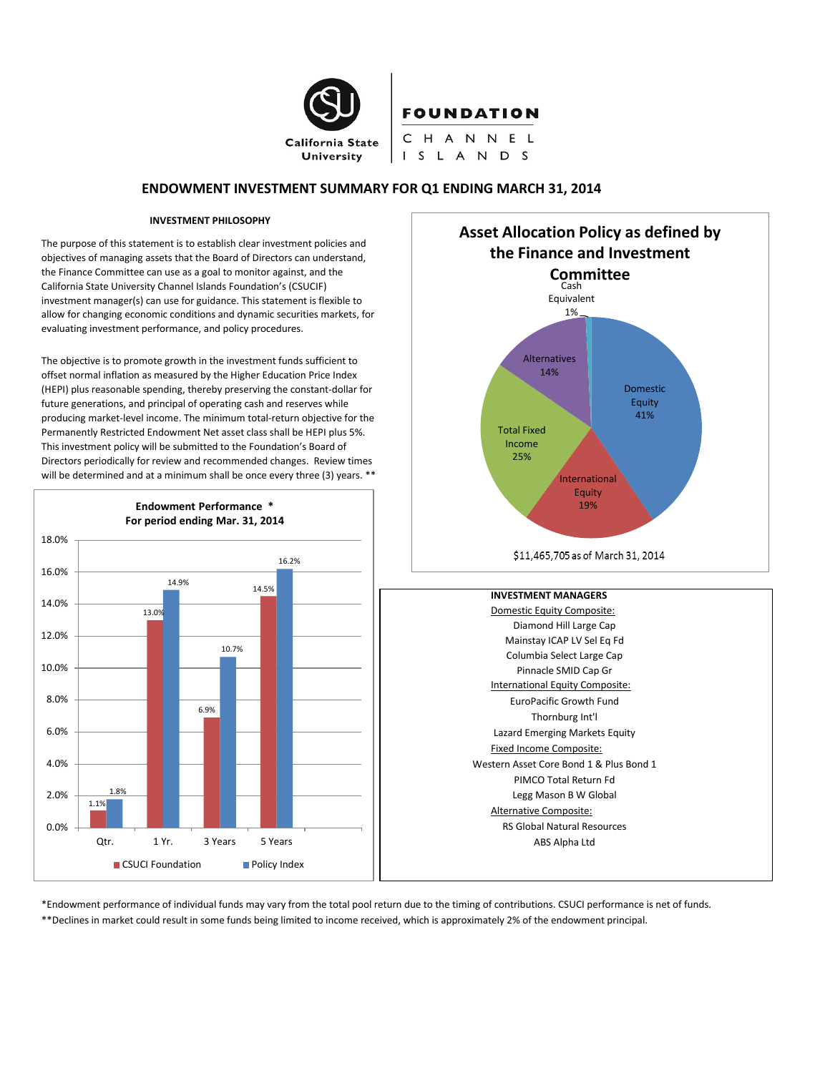

# **FOUNDATION**

CHANNEL I S L A N D S

# **ENDOWMENT INVESTMENT SUMMARY FOR Q1 ENDING MARCH 31, 2014**

#### **INVESTMENT PHILOSOPHY**

The purpose of this statement is to establish clear investment policies and objectives of managing assets that the Board of Directors can understand, the Finance Committee can use as a goal to monitor against, and the California State University Channel Islands Foundation's (CSUCIF) investment manager(s) can use for guidance. This statement is flexible to allow for changing economic conditions and dynamic securities markets, for evaluating investment performance, and policy procedures.

The objective is to promote growth in the investment funds sufficient to offset normal inflation as measured by the Higher Education Price Index (HEPI) plus reasonable spending, thereby preserving the constant-dollar for future generations, and principal of operating cash and reserves while producing market-level income. The minimum total-return objective for the Permanently Restricted Endowment Net asset class shall be HEPI plus 5%. This investment policy will be submitted to the Foundation's Board of Directors periodically for review and recommended changes. Review times will be determined and at a minimum shall be once every three (3) years. \*\*





\*Endowment performance of individual funds may vary from the total pool return due to the timing of contributions. CSUCI performance is net of funds. \*\*Declines in market could result in some funds being limited to income received, which is approximately 2% of the endowment principal.